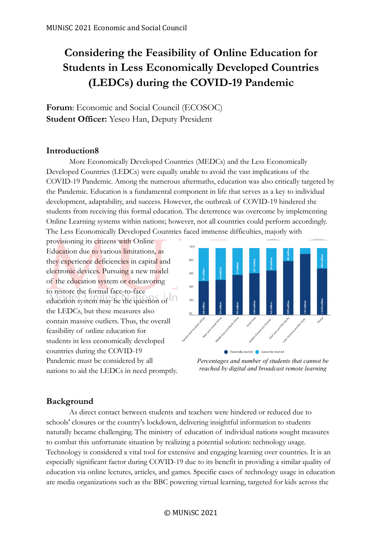# **Considering the Feasibility of Online Education for Students in Less Economically Developed Countries (LEDCs) during the COVID-19 Pandemic**

**Forum**: Economic and Social Council (ECOSOC) **Student Officer:** Yeseo Han, Deputy President

### **Introduction8**

More Economically Developed Countries (MEDCs) and the Less Economically Developed Countries (LEDCs) were equally unable to avoid the vast implications of the COVID-19 Pandemic. Among the numerous aftermaths, education was also critically targeted by the Pandemic. Education is a fundamental component in life that serves as a key to individual development, adaptability, and success. However, the outbreak of COVID-19 hindered the students from receiving this formal education. The deterrence was overcome by implementing Online Learning systems within nations; however, not all countries could perform accordingly. The Less Economically Developed Countries faced immense difficulties, majorly with

provisioning its citizens with Online Education due to various limitations, as they experience deficiencies in capital and electronic devices. Pursuing a new model of the education system or endeavoring to restore the formal face-to-face education system may be the question of n the LEDCs, but these measures also contain massive outliers. Thus, the overall feasibility of online education for students in less economically developed countries during the COVID-19 Pandemic must be considered by all nations to aid the LEDCs in need promptly.



*Percentages and number of students that cannot be reached by digital and broadcast remote learning*

# **Background**

As direct contact between students and teachers were hindered or reduced due to schools' closures or the country's lockdown, delivering insightful information to students naturally became challenging. The ministry of education of individual nations sought measures to combat this unfortunate situation by realizing a potential solution: technology usage. Technology is considered a vital tool for extensive and engaging learning over countries. It is an especially significant factor during COVID-19 due to its benefit in providing a similar quality of education via online lectures, articles, and games. Specific cases of technology usage in education are media organizations such as the BBC powering virtual learning, targeted for kids across the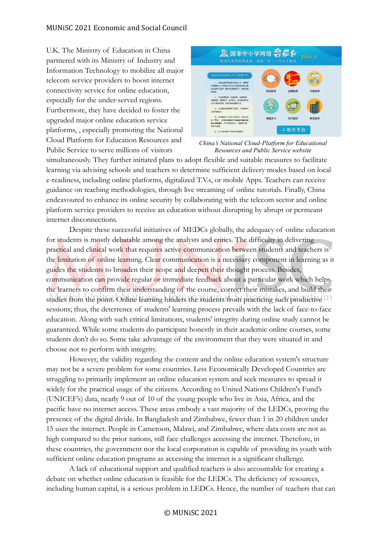U.K. The Ministry of Education in China partnered with its Ministry of Industry and Information Technology to mobilize all major telecom service providers to boost internet connectivity service for online education, especially for the under-served regions. Furthermore, they have decided to foster the upgraded major online education service platforms, , especially promoting the National Cloud Platform for Education Resources and Public Service to serve millions of visitors



*China's National Cloud-Platform for Educational Resources and Public Service website*

simultaneously. They further initiated plans to adopt flexible and suitable measures to facilitate learning via advising schools and teachers to determine sufficient delivery modes based on local e-readiness, including online platforms, digitalized T.V.s, or mobile Apps. Teachers can receive guidance on teaching methodologies, through live streaming of online tutorials. Finally, China endeavoured to enhance its online security by collaborating with the telecom sector and online platform service providers to receive an education without disrupting by abrupt or permeant internet disconnections.

Despite these successful initiatives of MEDCs globally, the adequacy of online education for students is mostly debatable among the analysts and critics. The difficulty in delivering practical and clinical work that requires active communication between students and teachers is the limitation of online learning. Clear communication is a necessary component in learning as it guides the students to broaden their scope and deepen their thought process. Besides, communication can provide regular or immediate feedback about a particular work which helps the learners to confirm their understanding of the course, correct their mistakes, and build their studies from the point. Online learning hinders the students from practicing such productive sessions; thus, the deterrence of students' learning process prevails with the lack of face-to-face education. Along with such critical limitations, students' integrity during online study cannot be guaranteed. While some students do participate honestly in their academic online courses, some students don't do so. Some take advantage of the environment that they were situated in and choose not to perform with integrity.

However, the validity regarding the content and the online education system's structure may not be a severe problem for some countries. Less Economically Developed Countries are struggling to primarily implement an online education system and seek measures to spread it widely for the practical usage of the citizens. According to United Nations Children's Fund's (UNICEF's) data, nearly 9 out of 10 of the young people who live in Asia, Africa, and the pacific have no internet access. These areas embody a vast majority of the LEDCs, proving the presence of the digital divide. In Bangladesh and Zimbabwe, fewer than 1 in 20 children under 15 uses the internet. People in Cameroon, Malawi, and Zimbabwe, where data costs are not as high compared to the prior nations, still face challenges accessing the internet. Therefore, in these countries, the government nor the local corporation is capable of providing its youth with sufficient online education programs as accessing the internet is a significant challenge.

A lack of educational support and qualified teachers is also accountable for creating a debate on whether online education is feasible for the LEDCs. The deficiency of resources, including human capital, is a serious problem in LEDCs. Hence, the number of teachers that can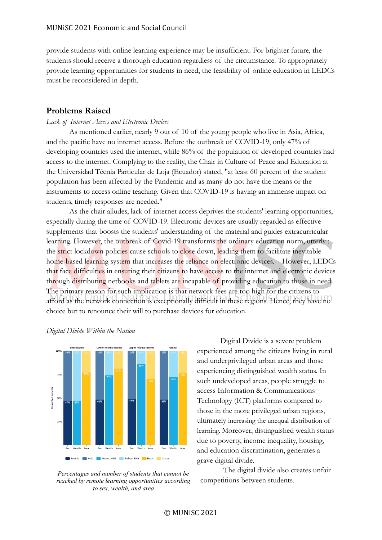provide students with online learning experience may be insufficient. For brighter future, the students should receive a thorough education regardless of the circumstance. To appropriately provide learning opportunities for students in need, the feasibility of online education in LEDCs must be reconsidered in depth.

## **Problems Raised**

#### *Lack of Internet Access and Electronic Devices*

As mentioned earlier, nearly 9 out of 10 of the young people who live in Asia, Africa, and the pacific have no internet access. Before the outbreak of COVID-19, only 47% of developing countries used the internet, while 86% of the population of developed countries had access to the internet. Complying to the reality, the Chair in Culture of Peace and Education at the Universidad Técnia Particular de Loja (Ecuador) stated, "at least 60 percent of the student population has been affected by the Pandemic and as many do not have the means or the instruments to access online teaching. Given that COVID-19 is having an immense impact on students, timely responses are needed."

As the chair alludes, lack of internet access deprives the students' learning opportunities, especially during the time of COVID-19. Electronic devices are usually regarded as effective supplements that boosts the students' understanding of the material and guides extracurricular learning. However, the outbreak of Covid-19 transforms the ordinary education norm, utterly : the strict lockdown policies cause schools to close down, leading them to facilitate inevitable home-based learning system that increases the reliance on electronic devices. However, LEDCs that face difficulties in ensuring their citizens to have access to the internet and electronic devices through distributing netbooks and tablets are incapable of providing education to those in need. The primary reason for such implication is that network fees are too high for the citizens to afford as the network connection is exceptionally difficult in these regions. Hence, they have no choice but to renounce their will to purchase devices for education.



#### *Digital Divide Within the Nation*

*Percentages and number of students that cannot be reached by remote learning opportunities according to sex, wealth, and area*

Digital Divide is a severe problem experienced among the citizens living in rural and underprivileged urban areas and those experiencing distinguished wealth status. In such undeveloped areas, people struggle to access Information & Communications Technology (ICT) platforms compared to those in the more privileged urban regions, ultimately increasing the unequal distribution of learning. Moreover, distinguished wealth status due to poverty, income inequality, housing, and education discrimination, generates a grave digital divide.

The digital divide also creates unfair competitions between students.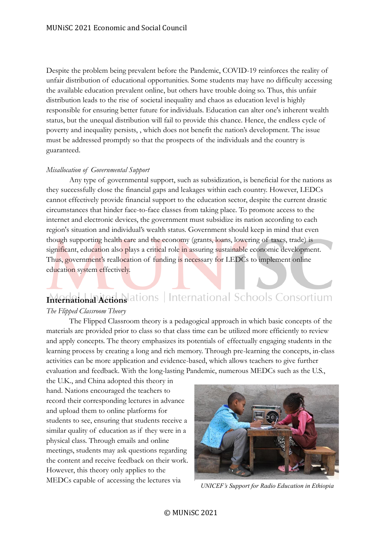Despite the problem being prevalent before the Pandemic, COVID-19 reinforces the reality of unfair distribution of educational opportunities. Some students may have no difficulty accessing the available education prevalent online, but others have trouble doing so. Thus, this unfair distribution leads to the rise of societal inequality and chaos as education level is highly responsible for ensuring better future for individuals. Education can alter one's inherent wealth status, but the unequal distribution will fail to provide this chance. Hence, the endless cycle of poverty and inequality persists, , which does not benefit the nation's development. The issue must be addressed promptly so that the prospects of the individuals and the country is guaranteed.

#### *Misallocation of Governmental Support*

Any type of governmental support, such as subsidization, is beneficial for the nations as they successfully close the financial gaps and leakages within each country. However, LEDCs cannot effectively provide financial support to the education sector, despite the current drastic circumstances that hinder face-to-face classes from taking place. To promote access to the internet and electronic devices, the government must subsidize its nation according to each region's situation and individual's wealth status. Government should keep in mind that even though supporting health care and the economy (grants, loans, lowering of taxes, trade) is significant, education also plays a critical role in assuring sustainable economic development. Thus, government's reallocation of funding is necessary for LEDCs to implement online education system effectively.

# **International Actions** ations | International Schools Consortium

#### *The Flipped Classroom Theory*

The Flipped Classroom theory is a pedagogical approach in which basic concepts of the materials are provided prior to class so that class time can be utilized more efficiently to review and apply concepts. The theory emphasizes its potentials of effectually engaging students in the learning process by creating a long and rich memory. Through pre-learning the concepts, in-class activities can be more application and evidence-based, which allows teachers to give further evaluation and feedback. With the long-lasting Pandemic, numerous MEDCs such as the U.S.,

the U.K., and China adopted this theory in hand. Nations encouraged the teachers to record their corresponding lectures in advance and upload them to online platforms for students to see, ensuring that students receive a similar quality of education as if they were in a physical class. Through emails and online meetings, students may ask questions regarding the content and receive feedback on their work. However, this theory only applies to the MEDCs capable of accessing the lectures via



*UNICEF's Support for Radio Education in Ethiopia*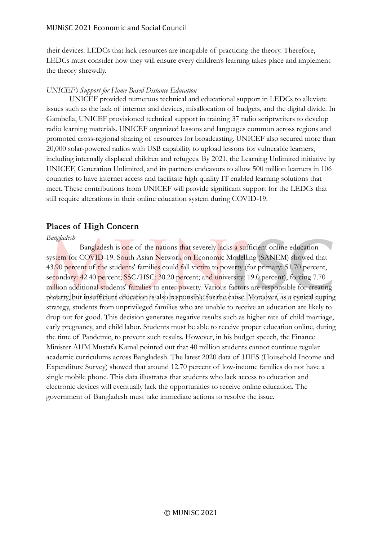#### MUNiSC 2021 Economic and Social Council

their devices. LEDCs that lack resources are incapable of practicing the theory. Therefore, LEDCs must consider how they will ensure every children's learning takes place and implement the theory shrewdly.

#### *UNICEF's Support for Home Based Distance Education*

UNICEF provided numerous technical and educational support in LEDCs to alleviate issues such as the lack of internet and devices, misallocation of budgets, and the digital divide. In Gambella, UNICEF provisioned technical support in training 37 radio scriptwriters to develop radio learning materials. UNICEF organized lessons and languages common across regions and promoted cross-regional sharing of resources for broadcasting. UNICEF also secured more than 20,000 solar-powered radios with USB capability to upload lessons for vulnerable learners, including internally displaced children and refugees. By 2021, the Learning Unlimited initiative by UNICEF, Generation Unlimited, and its partners endeavors to allow 500 million learners in 106 countries to have internet access and facilitate high quality IT enabled learning solutions that meet. These contributions from UNICEF will provide significant support for the LEDCs that still require alterations in their online education system during COVID-19.

## **Places of High Concern**

#### *Bangladesh*

 Bangladesh is one of the nations that severely lacks a sufficient online education system for COVID-19. South Asian Network on Economic Modelling (SANEM) showed that 43.90 percent of the students' families could fall victim to poverty (for primary: 51.70 percent, secondary: 42.40 percent; SSC/HSC: 30.20 percent; and university: 19.0 percent), forcing 7.70 million additional students' families to enter poverty. Various factors are responsible for creating poverty, but insufficient education is also responsible for the cause. Moreover, as a cynical coping strategy, students from unprivileged families who are unable to receive an education are likely to drop out for good. This decision generates negative results such as higher rate of child marriage, early pregnancy, and child labor. Students must be able to receive proper education online, during the time of Pandemic, to prevent such results. However, in his budget speech, the Finance Minister AHM Mustafa Kamal pointed out that 40 million students cannot continue regular academic curriculums across Bangladesh. The latest 2020 data of HIES (Household Income and Expenditure Survey) showed that around 12.70 percent of low-income families do not have a single mobile phone. This data illustrates that students who lack access to education and electronic devices will eventually lack the opportunities to receive online education. The government of Bangladesh must take immediate actions to resolve the issue.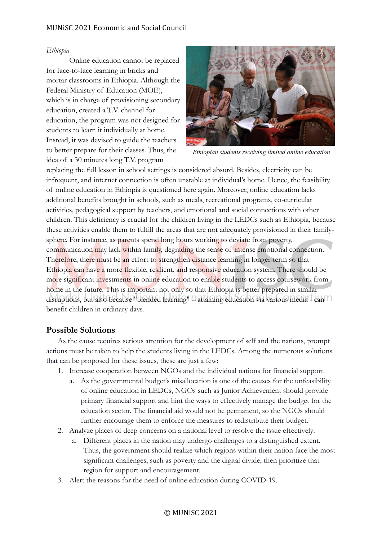## MUNiSC 2021 Economic and Social Council

#### *Ethiopia*

Online education cannot be replaced for face-to-face learning in bricks and mortar classrooms in Ethiopia. Although the Federal Ministry of Education (MOE), which is in charge of provisioning secondary education, created a T.V. channel for education, the program was not designed for students to learn it individually at home. Instead, it was devised to guide the teachers to better prepare for their classes. Thus, the idea of a 30 minutes long T.V. program



*Ethiopian students receiving limited online education*

replacing the full lesson in school settings is considered absurd. Besides, electricity can be infrequent, and internet connection is often unstable at individual's home. Hence, the feasibility of online education in Ethiopia is questioned here again. Moreover, online education lacks additional benefits brought in schools, such as meals, recreational programs, co-curricular activities, pedagogical support by teachers, and emotional and social connections with other children. This deficiency is crucial for the children living in the LEDCs such as Ethiopia, because these activities enable them to fulfill the areas that are not adequately provisioned in their familysphere. For instance, as parents spend long hours working to deviate from poverty, communication may lack within family, degrading the sense of intense emotional connection. Therefore, there must be an effort to strengthen distance learning in longer-term so that Ethiopia can have a more flexible, resilient, and responsive education system. There should be more significant investments in online education to enable students to access coursework from home in the future. This is important not only so that Ethiopia is better prepared in similar disruptions, but also because "blended learning" – attaining education via various media - can benefit children in ordinary days.

## **Possible Solutions**

As the cause requires serious attention for the development of self and the nations, prompt actions must be taken to help the students living in the LEDCs. Among the numerous solutions that can be proposed for these issues, these are just a few:

- 1. Increase cooperation between NGOs and the individual nations for financial support.
	- a. As the governmental budget's misallocation is one of the causes for the unfeasibility of online education in LEDCs, NGOs such as Junior Achievement should provide primary financial support and hint the ways to effectively manage the budget for the education sector. The financial aid would not be permanent, so the NGOs should further encourage them to enforce the measures to redistribute their budget.
- 2. Analyze places of deep concerns on a national level to resolve the issue effectively.
	- a. Different places in the nation may undergo challenges to a distinguished extent. Thus, the government should realize which regions within their nation face the most significant challenges, such as poverty and the digital divide, then prioritize that region for support and encouragement.
- 3. Alert the reasons for the need of online education during COVID-19.

#### © MUNiSC 2021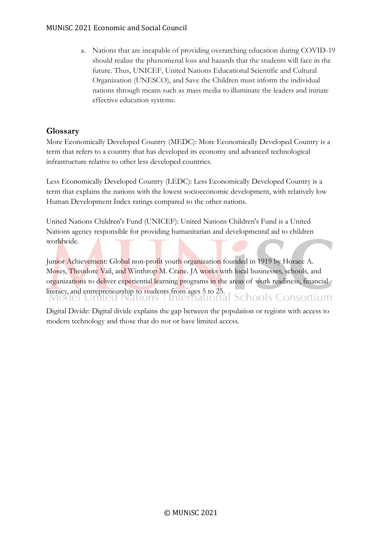a. Nations that are incapable of providing overarching education during COVID-19 should realize the phenomenal loss and hazards that the students will face in the future. Thus, UNICEF, United Nations Educational Scientific and Cultural Organization (UNESCO), and Save the Children must inform the individual nations through means such as mass media to illuminate the leaders and initiate effective education systems.

# **Glossary**

More Economically Developed Country (MEDC): More Economically Developed Country is a term that refers to a country that has developed its economy and advanced technological infrastructure relative to other less developed countries.

Less Economically Developed Country (LEDC): Less Economically Developed Country is a term that explains the nations with the lowest socioeconomic development, with relatively low Human Development Index ratings compared to the other nations.

United Nations Children's Fund (UNICEF): United Nations Children's Fund is a United Nations agency responsible for providing humanitarian and developmental aid to children worldwide.

Junior Achievement: Global non-profit youth organization founded in 1919 by Horace A. Moses, Theodore Vail, and Winthrop M. Crane. JA works with local businesses, schools, and organizations to deliver experiential learning programs in the areas of work readiness, financial literacy, and entrepreneurship to students from ages 5 to 25.<br>Model United Nations | International Schools Consortium

Digital Divide: Digital divide explains the gap between the population or regions with access to modern technology and those that do not or have limited access.